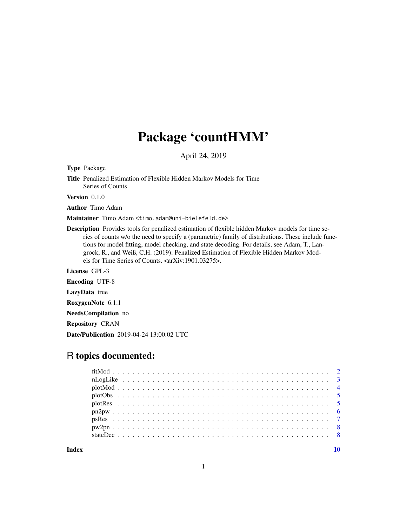# Package 'countHMM'

April 24, 2019

Type Package

Title Penalized Estimation of Flexible Hidden Markov Models for Time Series of Counts

Version 0.1.0

Author Timo Adam

Maintainer Timo Adam <timo.adam@uni-bielefeld.de>

Description Provides tools for penalized estimation of flexible hidden Markov models for time series of counts w/o the need to specify a (parametric) family of distributions. These include functions for model fitting, model checking, and state decoding. For details, see Adam, T., Langrock, R., and Weiß, C.H. (2019): Penalized Estimation of Flexible Hidden Markov Models for Time Series of Counts. <arXiv:1901.03275>.

License GPL-3

Encoding UTF-8

LazyData true

RoxygenNote 6.1.1

NeedsCompilation no

Repository CRAN

Date/Publication 2019-04-24 13:00:02 UTC

# R topics documented:

 $\blacksquare$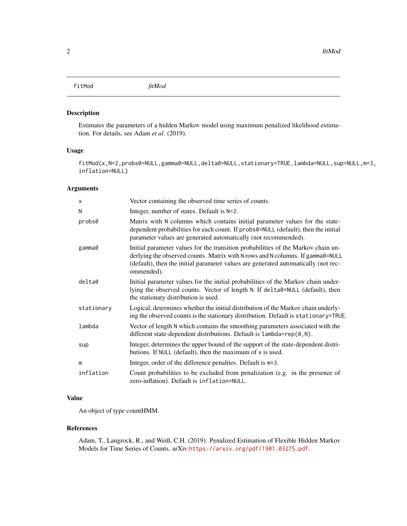<span id="page-1-1"></span><span id="page-1-0"></span>fitMod *fitMod*

# Description

Estimates the parameters of a hidden Markov model using maximum penalized likelihood estimation. For details, see Adam *et al*. (2019).

# Usage

fitMod(x,N=2,probs0=NULL,gamma0=NULL,delta0=NULL,stationary=TRUE,lambda=NULL,sup=NULL,m=3, inflation=NULL)

#### Arguments

| X          | Vector containing the observed time series of counts.                                                                                                                                                                                                                   |
|------------|-------------------------------------------------------------------------------------------------------------------------------------------------------------------------------------------------------------------------------------------------------------------------|
| N          | Integer, number of states. Default is N=2.                                                                                                                                                                                                                              |
| probs0     | Matrix with N columns which contains initial parameter values for the state-<br>dependent probabilities for each count. If probs0=NULL (default), then the initial<br>parameter values are generated automatically (not recommended).                                   |
| gamma0     | Initial parameter values for the transition probabilities of the Markov chain un-<br>derlying the observed counts. Matrix with N rows and N columns. If gamma0=NULL<br>(default), then the initial parameter values are generated automatically (not rec-<br>ommended). |
| delta0     | Initial parameter values for the initial probabilities of the Markov chain under-<br>lying the observed counts. Vector of length N. If delta0=NULL (default), then<br>the stationary distribution is used.                                                              |
| stationary | Logical, determines whether the initial distribution of the Markov chain underly-<br>ing the observed counts is the stationary distribution. Default is stationary=TRUE.                                                                                                |
| lambda     | Vector of length N which contains the smoothing parameters associated with the<br>different state-dependent distributions. Default is $l$ ambda= $rep(0, N)$ .                                                                                                          |
| sup        | Integer, determines the upper bound of the support of the state-dependent distri-<br>butions. If NULL (default), then the maximum of x is used.                                                                                                                         |
| m          | Integer, order of the difference penalties. Default is m=3.                                                                                                                                                                                                             |
| inflation  | Count probabilities to be excluded from penalization (e.g. in the presence of<br>zero-inflation). Default is inflation=NULL.                                                                                                                                            |

# Value

An object of type countHMM.

# References

Adam, T., Langrock, R., and Weiß, C.H. (2019): Penalized Estimation of Flexible Hidden Markov Models for Time Series of Counts. arXiv:<https://arxiv.org/pdf/1901.03275.pdf>.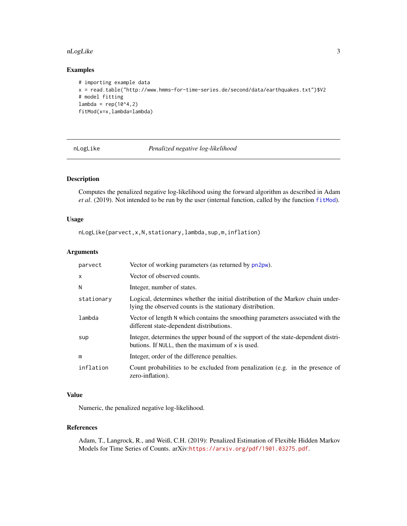#### <span id="page-2-0"></span>nLogLike 3

# Examples

```
# importing example data
x = read.table("http://www.hmms-for-time-series.de/second/data/earthquakes.txt")$V2
# model fitting
lambda = rep(10^4,2)fitMod(x=x,lambda=lambda)
```
<span id="page-2-1"></span>nLogLike *Penalized negative log-likelihood*

# Description

Computes the penalized negative log-likelihood using the forward algorithm as described in Adam *et al.* (2019). Not intended to be run by the user (internal function, called by the function [fitMod](#page-1-1)).

# Usage

nLogLike(parvect,x,N,stationary,lambda,sup,m,inflation)

# Arguments

| parvect    | Vector of working parameters (as returned by pn2pw).                                                                                         |
|------------|----------------------------------------------------------------------------------------------------------------------------------------------|
| X          | Vector of observed counts.                                                                                                                   |
| N          | Integer, number of states.                                                                                                                   |
| stationary | Logical, determines whether the initial distribution of the Markov chain under-<br>lying the observed counts is the stationary distribution. |
| lambda     | Vector of length N which contains the smoothing parameters associated with the<br>different state-dependent distributions.                   |
| sup        | Integer, determines the upper bound of the support of the state-dependent distri-<br>butions. If NULL, then the maximum of x is used.        |
| m          | Integer, order of the difference penalties.                                                                                                  |
| inflation  | Count probabilities to be excluded from penalization (e.g. in the presence of<br>zero-inflation).                                            |

# Value

Numeric, the penalized negative log-likelihood.

#### References

Adam, T., Langrock, R., and Weiß, C.H. (2019): Penalized Estimation of Flexible Hidden Markov Models for Time Series of Counts. arXiv:<https://arxiv.org/pdf/1901.03275.pdf>.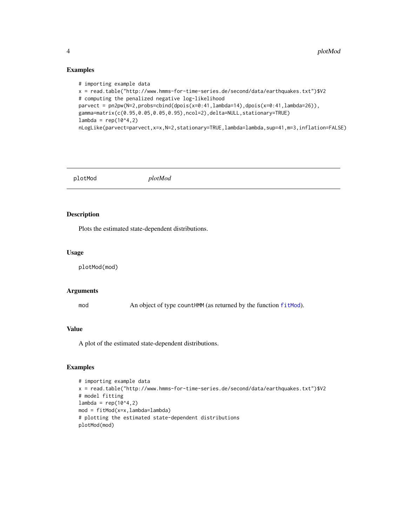#### Examples

```
# importing example data
x = read.table("http://www.hmms-for-time-series.de/second/data/earthquakes.txt")$V2
# computing the penalized negative log-likelihood
parvect = pn2pw(N=2,probs=cbind(dpois(x=0:41,lambda=14),dpois(x=0:41,lambda=26)),
gamma=matrix(c(0.95,0.05,0.05,0.95),ncol=2),delta=NULL,stationary=TRUE)
lambda = rep(10^4,2)nLogLike(parvect=parvect,x=x,N=2,stationary=TRUE,lambda=lambda,sup=41,m=3,inflation=FALSE)
```
plotMod *plotMod*

# Description

Plots the estimated state-dependent distributions.

#### Usage

plotMod(mod)

#### Arguments

mod An object of type countHMM (as returned by the function [fitMod](#page-1-1)).

# Value

A plot of the estimated state-dependent distributions.

# Examples

```
# importing example data
x = read.table("http://www.hmms-for-time-series.de/second/data/earthquakes.txt")$V2
# model fitting
lambda = rep(10^4,2)mod = fitMod(x=x,lambda=lambda)
# plotting the estimated state-dependent distributions
plotMod(mod)
```
<span id="page-3-0"></span>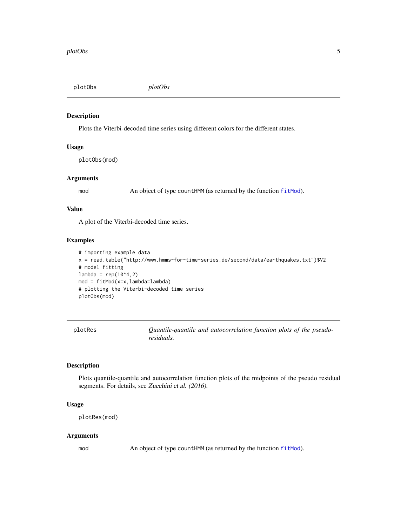<span id="page-4-0"></span>plotObs *plotObs*

#### Description

Plots the Viterbi-decoded time series using different colors for the different states.

# Usage

plotObs(mod)

#### Arguments

mod An object of type countHMM (as returned by the function [fitMod](#page-1-1)).

# Value

A plot of the Viterbi-decoded time series.

# Examples

```
# importing example data
x = read.table("http://www.hmms-for-time-series.de/second/data/earthquakes.txt")$V2
# model fitting
lambda = rep(10^4,2)mod = fitMod(x=x,lambda=lambda)
# plotting the Viterbi-decoded time series
plotObs(mod)
```

| plotRes | Quantile-quantile and autocorrelation function plots of the pseudo- |
|---------|---------------------------------------------------------------------|
|         | residuals.                                                          |

# Description

Plots quantile-quantile and autocorrelation function plots of the midpoints of the pseudo residual segments. For details, see Zucchini et al. (2016).

#### Usage

```
plotRes(mod)
```
#### Arguments

mod An object of type countHMM (as returned by the function [fitMod](#page-1-1)).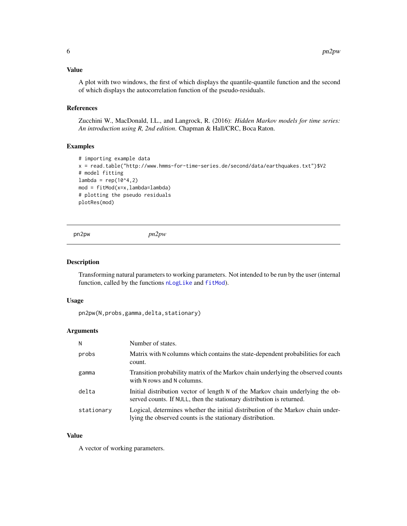#### <span id="page-5-0"></span>Value

A plot with two windows, the first of which displays the quantile-quantile function and the second of which displays the autocorrelation function of the pseudo-residuals.

# References

Zucchini W., MacDonald, I.L., and Langrock, R. (2016): *Hidden Markov models for time series: An introduction using R, 2nd edition*. Chapman & Hall/CRC, Boca Raton.

# Examples

```
# importing example data
x = read.table("http://www.hmms-for-time-series.de/second/data/earthquakes.txt")$V2
# model fitting
lambda = rep(10^4,2)mod = fitMod(x=x,lambda=lambda)
# plotting the pseudo residuals
plotRes(mod)
```
<span id="page-5-1"></span>pn2pw *pn2pw*

#### Description

Transforming natural parameters to working parameters. Not intended to be run by the user (internal function, called by the functions [nLogLike](#page-2-1) and [fitMod](#page-1-1)).

#### Usage

```
pn2pw(N,probs,gamma,delta,stationary)
```
#### Arguments

| N          | Number of states.                                                                                                                                       |
|------------|---------------------------------------------------------------------------------------------------------------------------------------------------------|
| probs      | Matrix with N columns which contains the state-dependent probabilities for each<br>count.                                                               |
| gamma      | Transition probability matrix of the Markov chain underlying the observed counts<br>with N rows and N columns.                                          |
| delta      | Initial distribution vector of length N of the Markov chain underlying the ob-<br>served counts. If NULL, then the stationary distribution is returned. |
| stationary | Logical, determines whether the initial distribution of the Markov chain under-<br>lying the observed counts is the stationary distribution.            |

# Value

A vector of working parameters.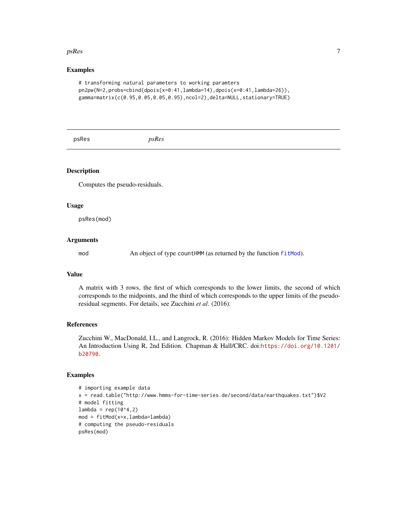#### <span id="page-6-0"></span> $p$ s $Res$  7

#### Examples

```
# transforming natural parameters to working paramters
pn2pw(N=2,probs=cbind(dpois(x=0:41,lambda=14),dpois(x=0:41,lambda=26)),
gamma=matrix(c(0.95,0.05,0.05,0.95),ncol=2),delta=NULL,stationary=TRUE)
```
psRes *psRes*

# Description

Computes the pseudo-residuals.

#### Usage

psRes(mod)

# Arguments

mod An object of type countHMM (as returned by the function [fitMod](#page-1-1)).

#### Value

A matrix with 3 rows, the first of which corresponds to the lower limits, the second of which corresponds to the midpoints, and the third of which corresponds to the upper limits of the pseudoresidual segments. For details, see Zucchini *et al*. (2016).

# References

Zucchini W., MacDonald, I.L., and Langrock, R. (2016): Hidden Markov Models for Time Series: An Introduction Using R, 2nd Edition. Chapman & Hall/CRC. doi:[https://doi.org/10.1201/](https://doi.org/10.1201/b20790) [b20790](https://doi.org/10.1201/b20790).

#### Examples

```
# importing example data
x = read.table("http://www.hmms-for-time-series.de/second/data/earthquakes.txt")$V2
# model fitting
lambda = rep(10^4,2)mod = fitMod(x=x,lambda=lambda)
# computing the pseudo-residuals
psRes(mod)
```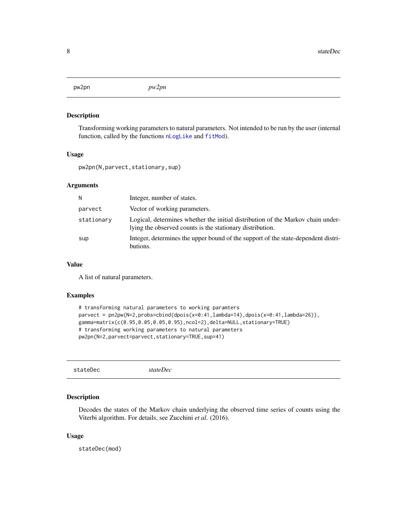<span id="page-7-0"></span>pw2pn *pw2pn*

#### Description

Transforming working parameters to natural parameters. Not intended to be run by the user (internal function, called by the functions [nLogLike](#page-2-1) and [fitMod](#page-1-1)).

#### Usage

pw2pn(N,parvect,stationary,sup)

#### Arguments

| N          | Integer, number of states.                                                                                                                   |
|------------|----------------------------------------------------------------------------------------------------------------------------------------------|
| parvect    | Vector of working parameters.                                                                                                                |
| stationary | Logical, determines whether the initial distribution of the Markov chain under-<br>lying the observed counts is the stationary distribution. |
| sup        | Integer, determines the upper bound of the support of the state-dependent distri-<br>butions.                                                |

#### Value

A list of natural parameters.

# Examples

```
# transforming natural parameters to working paramters
parvect = pn2pw(N=2,probs=cbind(dpois(x=0:41,lambda=14),dpois(x=0:41,lambda=26)),
gamma=matrix(c(0.95,0.05,0.05,0.95),ncol=2),delta=NULL,stationary=TRUE)
# transforming working parameters to natural parameters
pw2pn(N=2,parvect=parvect,stationary=TRUE,sup=41)
```
stateDec *stateDec*

#### Description

Decodes the states of the Markov chain underlying the observed time series of counts using the Viterbi algorithm. For details, see Zucchini *et al*. (2016).

# Usage

stateDec(mod)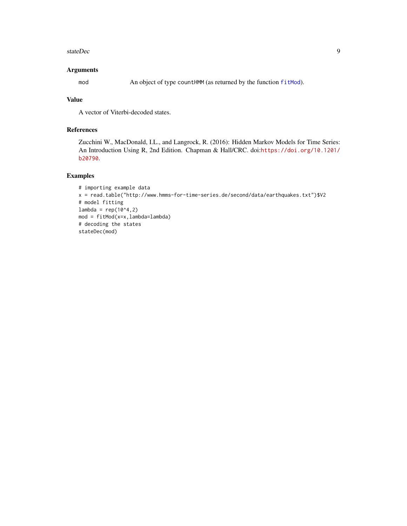#### <span id="page-8-0"></span>stateDec 9

#### Arguments

mod An object of type countHMM (as returned by the function [fitMod](#page-1-1)).

# Value

A vector of Viterbi-decoded states.

# References

Zucchini W., MacDonald, I.L., and Langrock, R. (2016): Hidden Markov Models for Time Series: An Introduction Using R, 2nd Edition. Chapman & Hall/CRC. doi:[https://doi.org/10.1201/](https://doi.org/10.1201/b20790) [b20790](https://doi.org/10.1201/b20790).

# Examples

```
# importing example data
x = read.table("http://www.hmms-for-time-series.de/second/data/earthquakes.txt")$V2
# model fitting
lambda = rep(10^4,2)mod = fitMod(x=x,lambda=lambda)
# decoding the states
stateDec(mod)
```